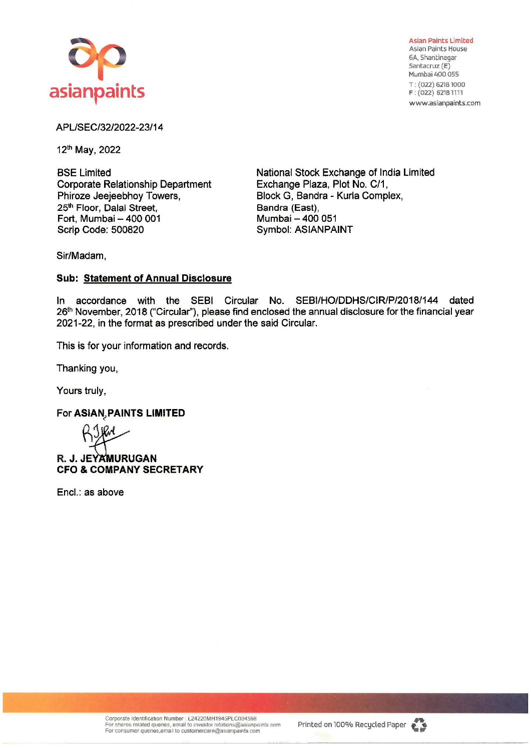

**Asian** Paints Limited Asian Paints House 6A, Shantinagar Santacruz (E) Mumbai 400 055 T: (022) 62181000 F : (022) 6218 llll www.asianpaints.com

## APL/SEC/32/2022-23/14

12th May, 2022

BSE Limited Corporate Relationship Department Phiroze Jeejeebhoy Towers, 25<sup>th</sup> Floor, Dalal Street, Fort, Mumbai - 400 001 Scrip Code: 500820

National Stock Exchange of India Limited Exchange Plaza, Plot No. C/1, Block G, Sandra - Kurla Complex, Bandra (East), Mumbai - 400 051 Symbol: **ASIANPAINT** 

Sir/Madam,

## **Sub: Statement of Annual Disclosure**

In accordance with the SEBI Circular No. SEBI/HO/DDHS/CIR/P/2018/144 dated 26<sup>th</sup> November, 2018 ("Circular"), please find enclosed the annual disclosure for the financial year 2021-22, in the format as prescribed under the said Circular.

This is for your information and records.

Thanking you,

Yours truly,

**For ASIAN, PAINTS LIMITED** 

**R. J. JEYAMURUGAN CFO** & **COMPANY SECRETARY** 

Encl.: as above

Corporate Identification Number : L24220MH1945PLC004598<br>For shares related quenes, email to investor relations@asianpaints com For consumer quenes,email to customercare@asianpaints.com